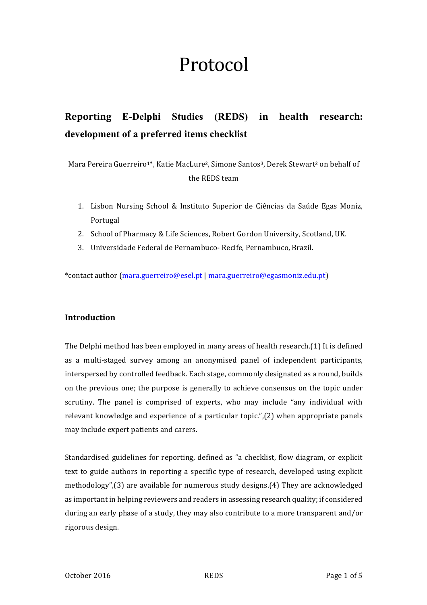# Protocol

## **Reporting E-Delphi Studies (REDS) in health research: development of a preferred items checklist**

Mara Pereira Guerreiro<sup>1\*</sup>, Katie MacLure<sup>2</sup>, Simone Santos<sup>3</sup>, Derek Stewart<sup>2</sup> on behalf of the REDS team

- 1. Lisbon Nursing School & Instituto Superior de Ciências da Saúde Egas Moniz, Portugal
- 2. School of Pharmacy & Life Sciences, Robert Gordon University, Scotland, UK.
- 3. Universidade Federal de Pernambuco- Recife, Pernambuco, Brazil.

\*contact author (mara.guerreiro@esel.pt | mara.guerreiro@egasmoniz.edu.pt)

### **Introduction**

The Delphi method has been employed in many areas of health research.(1) It is defined as a multi-staged survey among an anonymised panel of independent participants, interspersed by controlled feedback. Each stage, commonly designated as a round, builds on the previous one; the purpose is generally to achieve consensus on the topic under scrutiny. The panel is comprised of experts, who may include "any individual with relevant knowledge and experience of a particular topic.", $(2)$  when appropriate panels may include expert patients and carers.

Standardised guidelines for reporting, defined as "a checklist, flow diagram, or explicit text to guide authors in reporting a specific type of research, developed using explicit methodology", $(3)$  are available for numerous study designs. $(4)$  They are acknowledged as important in helping reviewers and readers in assessing research quality; if considered during an early phase of a study, they may also contribute to a more transparent and/or rigorous design.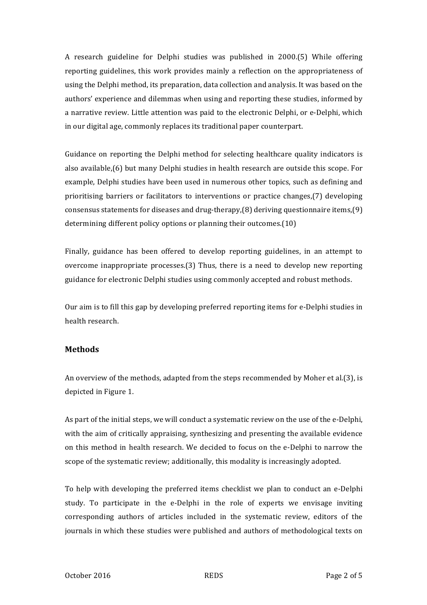A research guideline for Delphi studies was published in 2000.(5) While offering reporting guidelines, this work provides mainly a reflection on the appropriateness of using the Delphi method, its preparation, data collection and analysis. It was based on the authors' experience and dilemmas when using and reporting these studies, informed by a narrative review. Little attention was paid to the electronic Delphi, or e-Delphi, which in our digital age, commonly replaces its traditional paper counterpart.

Guidance on reporting the Delphi method for selecting healthcare quality indicators is also available, $(6)$  but many Delphi studies in health research are outside this scope. For example, Delphi studies have been used in numerous other topics, such as defining and prioritising barriers or facilitators to interventions or practice changes,(7) developing consensus statements for diseases and drug-therapy, $(8)$  deriving questionnaire items, $(9)$ determining different policy options or planning their outcomes.(10)

Finally, guidance has been offered to develop reporting guidelines, in an attempt to overcome inappropriate processes. $(3)$  Thus, there is a need to develop new reporting guidance for electronic Delphi studies using commonly accepted and robust methods.

Our aim is to fill this gap by developing preferred reporting items for e-Delphi studies in health research.

#### **Methods**

An overview of the methods, adapted from the steps recommended by Moher et al.(3), is depicted in Figure 1.

As part of the initial steps, we will conduct a systematic review on the use of the e-Delphi, with the aim of critically appraising, synthesizing and presenting the available evidence on this method in health research. We decided to focus on the e-Delphi to narrow the scope of the systematic review; additionally, this modality is increasingly adopted.

To help with developing the preferred items checklist we plan to conduct an e-Delphi study. To participate in the e-Delphi in the role of experts we envisage inviting corresponding authors of articles included in the systematic review, editors of the journals in which these studies were published and authors of methodological texts on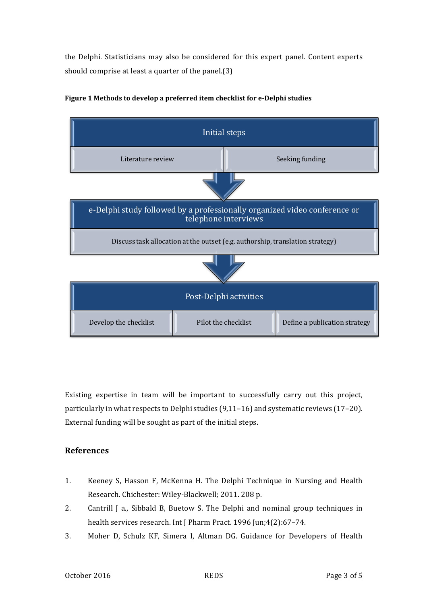the Delphi. Statisticians may also be considered for this expert panel. Content experts should comprise at least a quarter of the panel. $(3)$ 



#### Figure 1 Methods to develop a preferred item checklist for e-Delphi studies

Existing expertise in team will be important to successfully carry out this project, particularly in what respects to Delphi studies  $(9,11-16)$  and systematic reviews  $(17-20)$ . External funding will be sought as part of the initial steps.

#### **References**

- 1. Keeney S, Hasson F, McKenna H. The Delphi Technique in Nursing and Health Research. Chichester: Wiley-Blackwell; 2011. 208 p.
- 2. Cantrill J a., Sibbald B, Buetow S. The Delphi and nominal group techniques in health services research. Int J Pharm Pract. 1996 Jun;4(2):67-74.
- 3. Moher D, Schulz KF, Simera I, Altman DG. Guidance for Developers of Health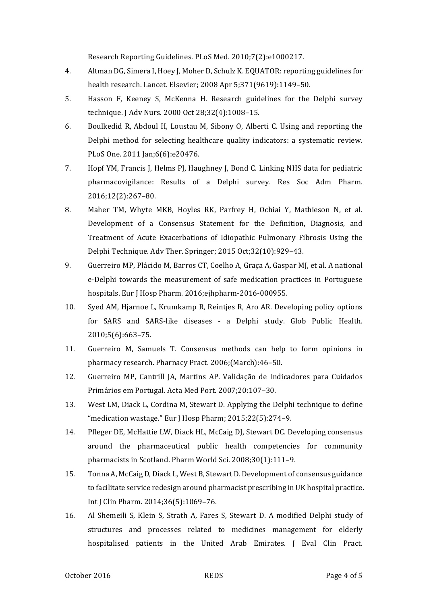Research Reporting Guidelines. PLoS Med. 2010;7(2):e1000217.

- 4. Altman DG, Simera I, Hoey I, Moher D, Schulz K, EQUATOR: reporting guidelines for health research. Lancet. Elsevier; 2008 Apr 5;371(9619):1149-50.
- 5. Hasson F, Keeney S, McKenna H. Research guidelines for the Delphi survey technique. J Adv Nurs. 2000 Oct 28;32(4):1008-15.
- 6. Boulkedid R, Abdoul H, Loustau M, Sibony O, Alberti C. Using and reporting the Delphi method for selecting healthcare quality indicators: a systematic review. PLoS One. 2011 Jan;6(6):e20476.
- 7. Hopf YM, Francis J, Helms PJ, Haughney J, Bond C. Linking NHS data for pediatric pharmacovigilance: Results of a Delphi survey. Res Soc Adm Pharm. 2016;12(2):267–80.
- 8. Maher TM, Whyte MKB, Hoyles RK, Parfrey H, Ochiai Y, Mathieson N, et al. Development of a Consensus Statement for the Definition, Diagnosis, and Treatment of Acute Exacerbations of Idiopathic Pulmonary Fibrosis Using the Delphi Technique. Adv Ther. Springer; 2015 Oct;32(10):929-43.
- 9. Guerreiro MP, Plácido M, Barros CT, Coelho A, Graça A, Gaspar MJ, et al. A national e-Delphi towards the measurement of safe medication practices in Portuguese hospitals. Eur J Hosp Pharm. 2016;ejhpharm-2016-000955.
- 10. Syed AM, Hjarnoe L, Krumkamp R, Reintjes R, Aro AR. Developing policy options for SARS and SARS-like diseases - a Delphi study. Glob Public Health. 2010;5(6):663–75.
- 11. Guerreiro M, Samuels T. Consensus methods can help to form opinions in pharmacy research. Pharnacy Pract. 2006;(March):46-50.
- 12. Guerreiro MP, Cantrill JA, Martins AP. Validação de Indicadores para Cuidados Primários em Portugal. Acta Med Port. 2007;20:107-30.
- 13. West LM, Diack L, Cordina M, Stewart D. Applying the Delphi technique to define "medication wastage." Eur J Hosp Pharm;  $2015;22(5):274-9$ .
- 14. Pfleger DE, McHattie LW, Diack HL, McCaig DJ, Stewart DC. Developing consensus around the pharmaceutical public health competencies for community pharmacists in Scotland. Pharm World Sci. 2008;30(1):111-9.
- 15. Tonna A, McCaig D, Diack L, West B, Stewart D. Development of consensus guidance to facilitate service redesign around pharmacist prescribing in UK hospital practice. Int J Clin Pharm. 2014;36(5):1069-76.
- 16. Al Shemeili S, Klein S, Strath A, Fares S, Stewart D. A modified Delphi study of structures and processes related to medicines management for elderly hospitalised patients in the United Arab Emirates. J Eval Clin Pract.